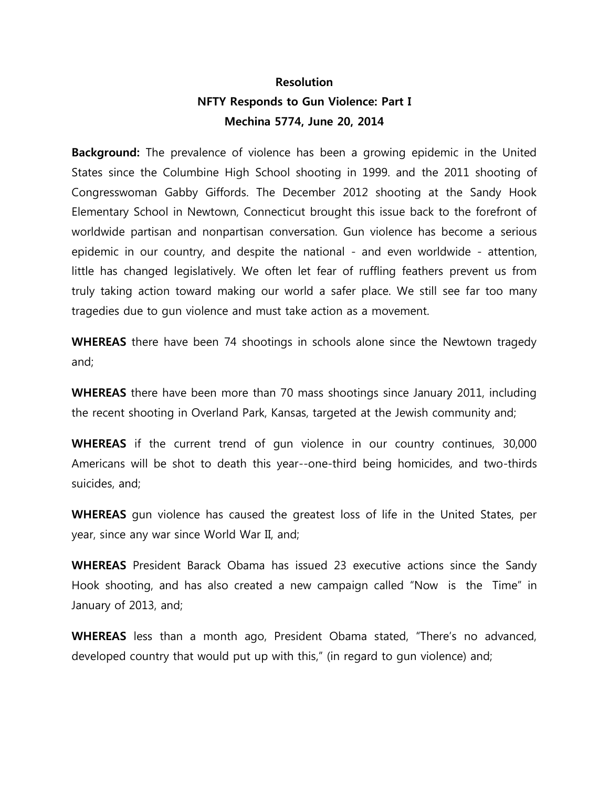## **Resolution NFTY Responds to Gun Violence: Part I Mechina 5774, June 20, 2014**

**Background:** The prevalence of violence has been a growing epidemic in the United States since the Columbine High School shooting in 1999. and the 2011 shooting of Congresswoman Gabby Giffords. The December 2012 shooting at the Sandy Hook Elementary School in Newtown, Connecticut brought this issue back to the forefront of worldwide partisan and nonpartisan conversation. Gun violence has become a serious epidemic in our country, and despite the national - and even worldwide - attention, little has changed legislatively. We often let fear of ruffling feathers prevent us from truly taking action toward making our world a safer place. We still see far too many tragedies due to gun violence and must take action as a movement.

**WHEREAS** there have been 74 shootings in schools alone since the Newtown tragedy and;

**WHEREAS** there have been more than 70 mass shootings since January 2011, including the recent shooting in Overland Park, Kansas, targeted at the Jewish community and;

**WHEREAS** if the current trend of gun violence in our country continues, 30,000 Americans will be shot to death this year--one-third being homicides, and two-thirds suicides, and;

**WHEREAS** gun violence has caused the greatest loss of life in the United States, per year, since any war since World War II, and;

**WHEREAS** President Barack Obama has issued 23 executive actions since the Sandy Hook shooting, and has also created a new campaign called "Now is the Time" in January of 2013, and;

**WHEREAS** less than a month ago, President Obama stated, "There's no advanced, developed country that would put up with this," (in regard to gun violence) and;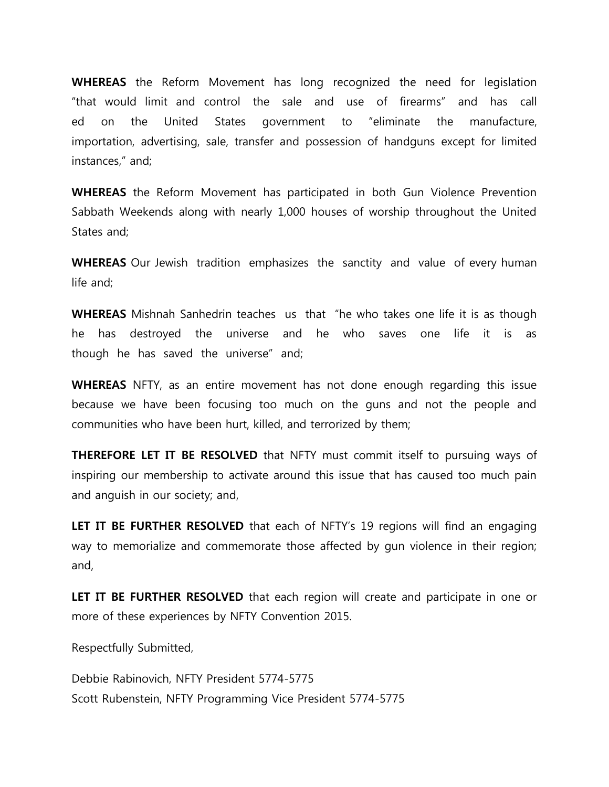**WHEREAS** the Reform Movement has long recognized the need for legislation "that would limit and control the sale and use of firearms" and has call ed on the United States government to "eliminate the manufacture, importation, advertising, sale, transfer and possession of handguns except for limited instances," and;

**WHEREAS** the Reform Movement has participated in both Gun Violence Prevention Sabbath Weekends along with nearly 1,000 houses of worship throughout the United States and;

**WHEREAS** Our Jewish tradition emphasizes the sanctity and value of every human life and;

**WHEREAS** Mishnah Sanhedrin teaches us that "he who takes one life it is as though he has destroyed the universe and he who saves one life it is as though he has saved the universe" and;

**WHEREAS** NFTY, as an entire movement has not done enough regarding this issue because we have been focusing too much on the guns and not the people and communities who have been hurt, killed, and terrorized by them;

**THEREFORE LET IT BE RESOLVED** that NFTY must commit itself to pursuing ways of inspiring our membership to activate around this issue that has caused too much pain and anguish in our society; and,

**LET IT BE FURTHER RESOLVED** that each of NFTY's 19 regions will find an engaging way to memorialize and commemorate those affected by gun violence in their region; and,

**LET IT BE FURTHER RESOLVED** that each region will create and participate in one or more of these experiences by NFTY Convention 2015.

Respectfully Submitted,

Debbie Rabinovich, NFTY President 5774-5775 Scott Rubenstein, NFTY Programming Vice President 5774-5775